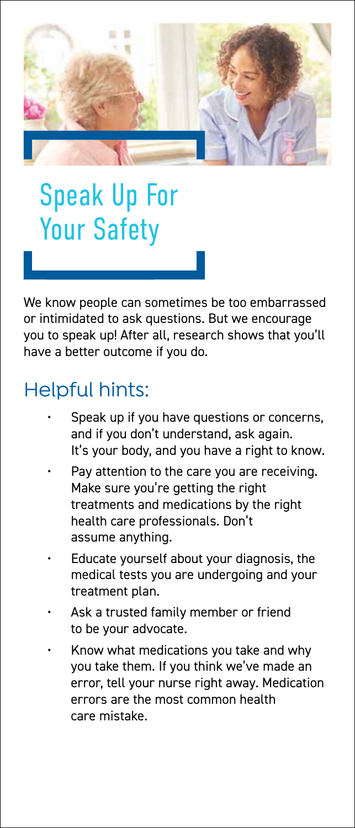

## Speak Up For Your Safety

We know people can sometimes be too embarrassed or intimidated to ask questions. But we encourage you to speak up! After all, research shows that you'll have a better outcome if you do.

## Helpful hints:

- Speak up if you have questions or concerns, and if you don't understand, ask again. It's your body, and you have a right to know.
- Pav attention to the care you are receiving. Make sure you're getting the right treatments and medications by the right health care professionals. Don't assume anything.
- Educate yourself about your diagnosis, the medical tests you are undergoing and your treatment plan.
- Ask a trusted family member or friend to be your advocate.
- Know what medications you take and why you take them. If you think we've made an error, tell your nurse right away. Medication errors are the most common health care mistake.